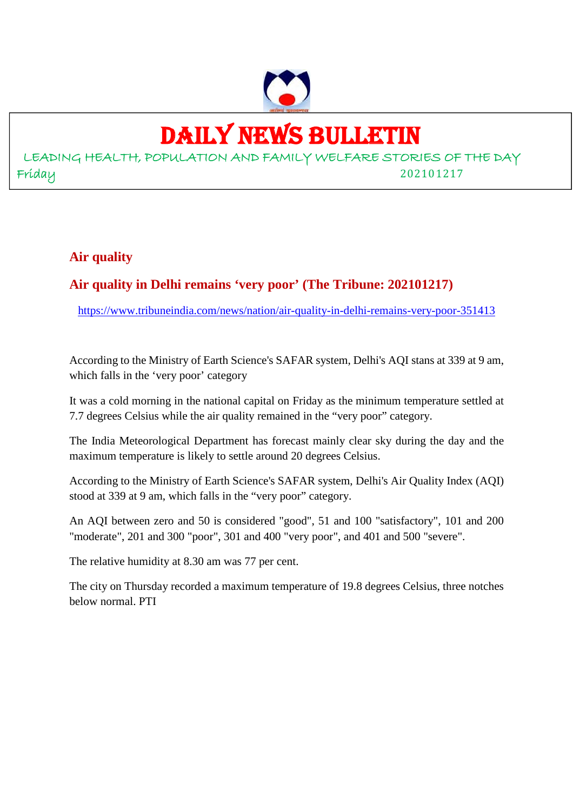

# DAILY NEWS BULLETIN

LEADING HEALTH, POPULATION AND FAMILY WELFARE STORIES OF THE DAY Friday 202101217

#### **Air quality**

#### **Air quality in Delhi remains 'very poor' (The Tribune: 202101217)**

https://www.tribuneindia.com/news/nation/air-quality-in-delhi-remains-very-poor-351413

According to the Ministry of Earth Science's SAFAR system, Delhi's AQI stans at 339 at 9 am, which falls in the 'very poor' category

It was a cold morning in the national capital on Friday as the minimum temperature settled at 7.7 degrees Celsius while the air quality remained in the "very poor" category.

The India Meteorological Department has forecast mainly clear sky during the day and the maximum temperature is likely to settle around 20 degrees Celsius.

According to the Ministry of Earth Science's SAFAR system, Delhi's Air Quality Index (AQI) stood at 339 at 9 am, which falls in the "very poor" category.

An AQI between zero and 50 is considered "good", 51 and 100 "satisfactory", 101 and 200 "moderate", 201 and 300 "poor", 301 and 400 "very poor", and 401 and 500 "severe".

The relative humidity at 8.30 am was 77 per cent.

The city on Thursday recorded a maximum temperature of 19.8 degrees Celsius, three notches below normal. PTI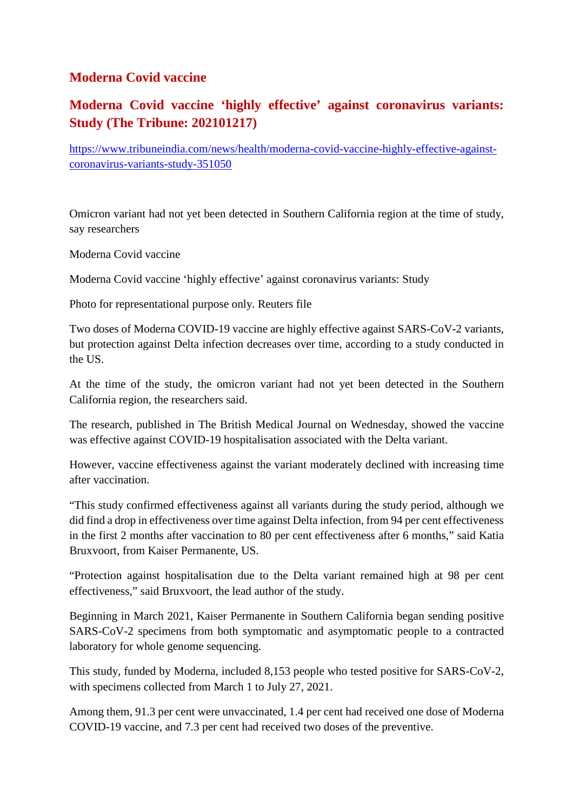#### **Moderna Covid vaccine**

#### **Moderna Covid vaccine 'highly effective' against coronavirus variants: Study (The Tribune: 202101217)**

https://www.tribuneindia.com/news/health/moderna-covid-vaccine-highly-effective-againstcoronavirus-variants-study-351050

Omicron variant had not yet been detected in Southern California region at the time of study, say researchers

Moderna Covid vaccine

Moderna Covid vaccine 'highly effective' against coronavirus variants: Study

Photo for representational purpose only. Reuters file

Two doses of Moderna COVID-19 vaccine are highly effective against SARS-CoV-2 variants, but protection against Delta infection decreases over time, according to a study conducted in the US.

At the time of the study, the omicron variant had not yet been detected in the Southern California region, the researchers said.

The research, published in The British Medical Journal on Wednesday, showed the vaccine was effective against COVID-19 hospitalisation associated with the Delta variant.

However, vaccine effectiveness against the variant moderately declined with increasing time after vaccination.

"This study confirmed effectiveness against all variants during the study period, although we did find a drop in effectiveness over time against Delta infection, from 94 per cent effectiveness in the first 2 months after vaccination to 80 per cent effectiveness after 6 months," said Katia Bruxvoort, from Kaiser Permanente, US.

"Protection against hospitalisation due to the Delta variant remained high at 98 per cent effectiveness," said Bruxvoort, the lead author of the study.

Beginning in March 2021, Kaiser Permanente in Southern California began sending positive SARS-CoV-2 specimens from both symptomatic and asymptomatic people to a contracted laboratory for whole genome sequencing.

This study, funded by Moderna, included 8,153 people who tested positive for SARS-CoV-2, with specimens collected from March 1 to July 27, 2021.

Among them, 91.3 per cent were unvaccinated, 1.4 per cent had received one dose of Moderna COVID-19 vaccine, and 7.3 per cent had received two doses of the preventive.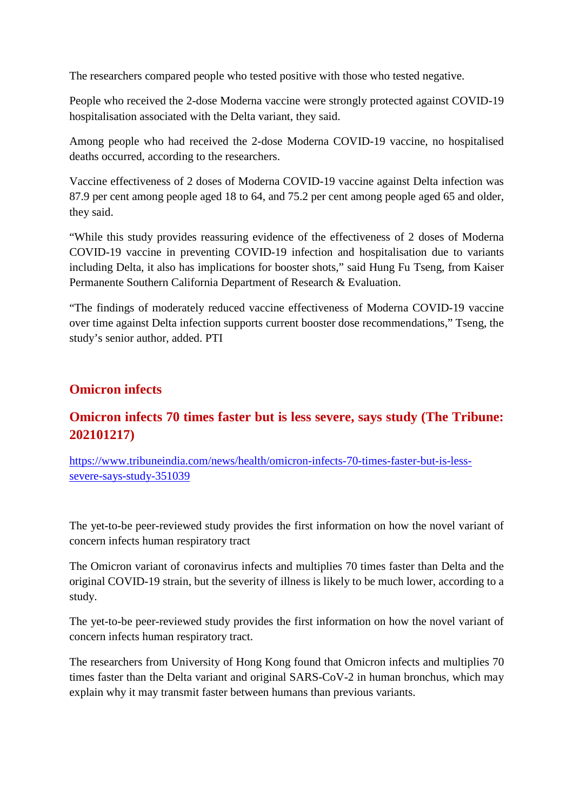The researchers compared people who tested positive with those who tested negative.

People who received the 2-dose Moderna vaccine were strongly protected against COVID-19 hospitalisation associated with the Delta variant, they said.

Among people who had received the 2-dose Moderna COVID-19 vaccine, no hospitalised deaths occurred, according to the researchers.

Vaccine effectiveness of 2 doses of Moderna COVID-19 vaccine against Delta infection was 87.9 per cent among people aged 18 to 64, and 75.2 per cent among people aged 65 and older, they said.

"While this study provides reassuring evidence of the effectiveness of 2 doses of Moderna COVID-19 vaccine in preventing COVID-19 infection and hospitalisation due to variants including Delta, it also has implications for booster shots," said Hung Fu Tseng, from Kaiser Permanente Southern California Department of Research & Evaluation.

"The findings of moderately reduced vaccine effectiveness of Moderna COVID-19 vaccine over time against Delta infection supports current booster dose recommendations," Tseng, the study's senior author, added. PTI

#### **Omicron infects**

#### **Omicron infects 70 times faster but is less severe, says study (The Tribune: 202101217)**

https://www.tribuneindia.com/news/health/omicron-infects-70-times-faster-but-is-lesssevere-says-study-351039

The yet-to-be peer-reviewed study provides the first information on how the novel variant of concern infects human respiratory tract

The Omicron variant of coronavirus infects and multiplies 70 times faster than Delta and the original COVID-19 strain, but the severity of illness is likely to be much lower, according to a study.

The yet-to-be peer-reviewed study provides the first information on how the novel variant of concern infects human respiratory tract.

The researchers from University of Hong Kong found that Omicron infects and multiplies 70 times faster than the Delta variant and original SARS-CoV-2 in human bronchus, which may explain why it may transmit faster between humans than previous variants.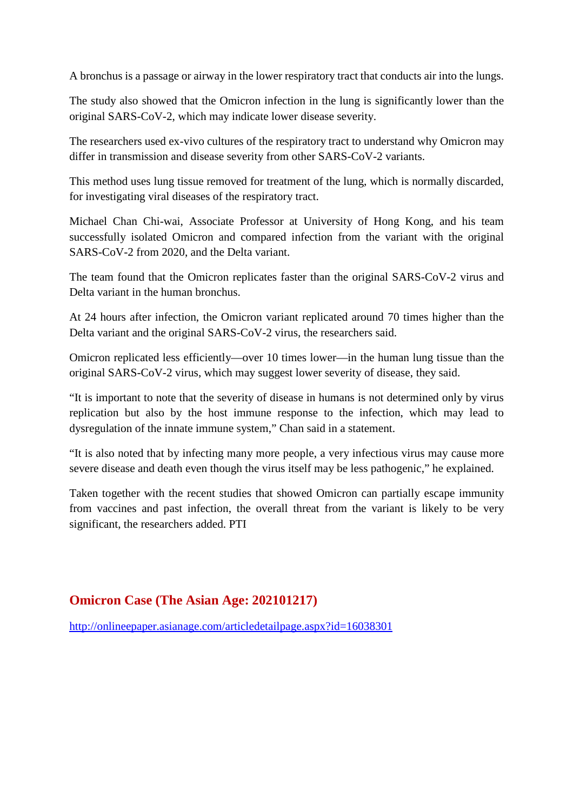A bronchus is a passage or airway in the lower respiratory tract that conducts air into the lungs.

The study also showed that the Omicron infection in the lung is significantly lower than the original SARS-CoV-2, which may indicate lower disease severity.

The researchers used ex-vivo cultures of the respiratory tract to understand why Omicron may differ in transmission and disease severity from other SARS-CoV-2 variants.

This method uses lung tissue removed for treatment of the lung, which is normally discarded, for investigating viral diseases of the respiratory tract.

Michael Chan Chi-wai, Associate Professor at University of Hong Kong, and his team successfully isolated Omicron and compared infection from the variant with the original SARS-CoV-2 from 2020, and the Delta variant.

The team found that the Omicron replicates faster than the original SARS-CoV-2 virus and Delta variant in the human bronchus.

At 24 hours after infection, the Omicron variant replicated around 70 times higher than the Delta variant and the original SARS-CoV-2 virus, the researchers said.

Omicron replicated less efficiently—over 10 times lower—in the human lung tissue than the original SARS-CoV-2 virus, which may suggest lower severity of disease, they said.

"It is important to note that the severity of disease in humans is not determined only by virus replication but also by the host immune response to the infection, which may lead to dysregulation of the innate immune system," Chan said in a statement.

"It is also noted that by infecting many more people, a very infectious virus may cause more severe disease and death even though the virus itself may be less pathogenic," he explained.

Taken together with the recent studies that showed Omicron can partially escape immunity from vaccines and past infection, the overall threat from the variant is likely to be very significant, the researchers added. PTI

#### **Omicron Case (The Asian Age: 202101217)**

http://onlineepaper.asianage.com/articledetailpage.aspx?id=16038301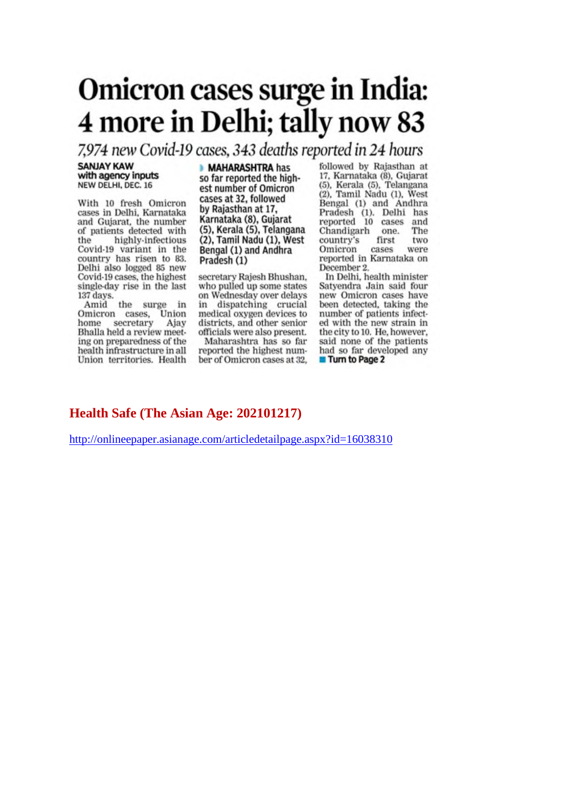# Omicron cases surge in India: 4 more in Delhi; tally now 83

7,974 new Covid-19 cases, 343 deaths reported in 24 hours

**SANJAY KAW** with agency inputs NEW DELHI, DEC. 16

With 10 fresh Omicron cases in Delhi, Karnataka and Gujarat, the number of patients detected with highly-infectious the Covid-19 variant in the country has risen to 83. Delhi also logged 85 new Covid-19 cases, the highest single-day rise in the last 137 days.

Amid the surge in Omicron cases, Union home secretary Ajay Bhalla held a review meeting on preparedness of the health infrastructure in all Union territories. Health

#### **MAHARASHTRA has**

so far reported the highest number of Omicron cases at 32, followed by Rajasthan at 17, Karnataka (8), Gujarat (5), Kerala (5), Telangana (2), Tamil Nadu (1), West Bengal (1) and Andhra Pradesh (1)

secretary Rajesh Bhushan, who pulled up some states on Wednesday over delays dispatching crucial in medical oxygen devices to districts, and other senior officials were also present. Maharashtra has so far

reported the highest number of Omicron cases at 32.

followed by Rajasthan at 17, Karnataka (8), Gujarat (5), Kerala (5), Telangana (2), Tamil Nadu (1), West Bengal (1) and Andhra Pradesh (1). Delhi has<br>reported 10 cases and Chandigarh The one. first country's two Omicron cases were reported in Karnataka on December 2.

In Delhi, health minister Satyendra Jain said four new Omicron cases have been detected, taking the number of patients infected with the new strain in the city to 10. He, however, said none of the patients had so far developed any **Turn to Page 2** 

#### Health Safe (The Asian Age: 202101217)

http://onlineepaper.asianage.com/articledetailpage.aspx?id=16038310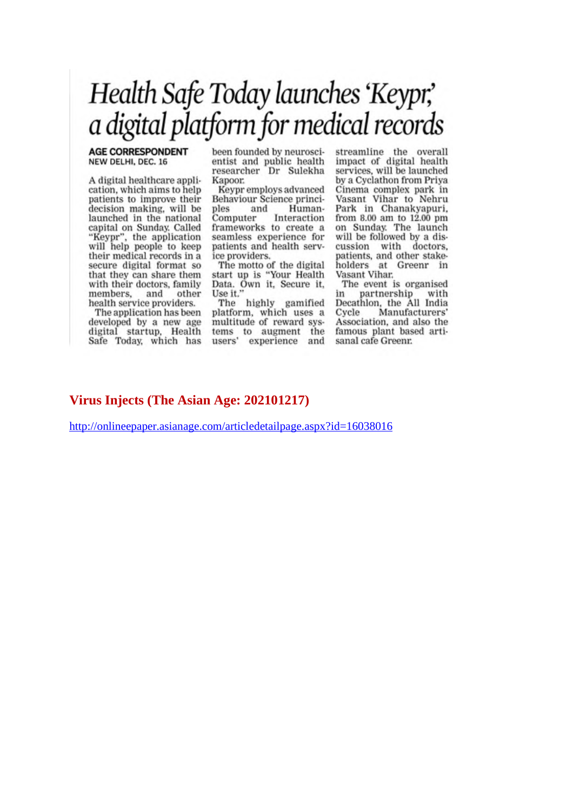## Health Safe Today launches 'Keypr,' a digital platform for medical records

#### **AGE CORRESPONDENT** NEW DELHI, DEC. 16

A digital healthcare application, which aims to help patients to improve their decision making, will be launched in the national capital on Sunday. Called<br>"Keypr", the application<br>will help people to keep their medical records in a secure digital format so that they can share them with their doctors, family members. and other health service providers.

The application has been developed by a new age digital startup, Health Safe Today, which has

been founded by neuroscientist and public health researcher Dr Sulekha Kapoor.

Keypr employs advanced Behaviour Science principles and Human-Computer Interaction frameworks to create a seamless experience for patients and health service providers.

The motto of the digital<br>start up is "Your Health<br>Data. Own it, Secure it, Use it."

The highly gamified platform, which uses a multitude of reward systems to augment the<br>users' experience and streamline the overall<br>impact of digital health services, will be launched by a Cyclathon from Priya Cinema complex park in<br>Vasant Vihar to Nehru Park in Chanakyapuri. from 8.00 am to 12.00 pm on Sunday. The launch will be followed by a discussion with doctors. patients, and other stakeholders at Greenr in Vasant Vihar.

The event is organised partnership in with Decathlon, the All India Cycle Manufacturers' Association, and also the famous plant based artisanal cafe Greenr.

#### Virus Injects (The Asian Age: 202101217)

http://onlineepaper.asianage.com/articledetailpage.aspx?id=16038016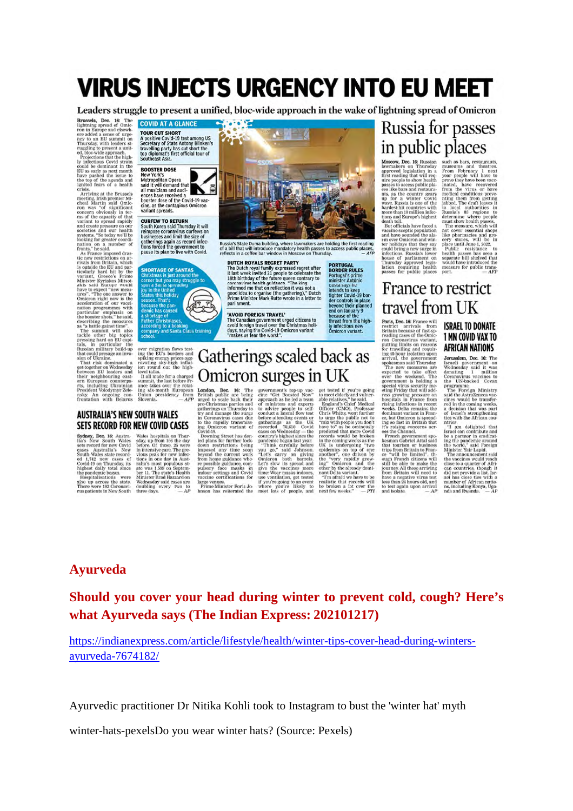## **VIRUS INJECTS URGENCY INTO EU MEET**

Leaders struggle to present a unified, bloc-wide approach in the wake of lightning spread of Omicron

 $\blacksquare$ 

**Brussels, Dec. 16:** The **COVID AT A GLANCE**<br>
lightning spread of Omic **COVID AT A GLANCE**<br>
lightning spread of Some **TOUR CUT SHORT**<br>
ere added a sense of urge **TOUR CUT SHORT**<br>
any to an EU summit on **A positive Covid-1** could be dominant in the<br>EU as early as next month<br>have pushed the issue to<br>the top of the agenda and<br>ignited fears of a health

have pushed the issue to **New York's**<br>the boy of the sugenta and Metropolitan Opera<br>ignited fears of a health said it will demand that<br>ignited fears of a health said it will demand that<br>meeting. Irish premier Mi-<br>constrain

#### **AUSTRALIA'S NEW SOUTH WALES** SETS RECORD FOR NEW COVID CASES



distributions again as record infections forced the government to<br>pause its plan to live with Covid.



**Sphere, DE AUSTRA Wales bossilials on Thur-**<br>**Sphere, 16:** Austra-Wales hospitals on Thur-<br>lia is New South Wales setz, up from 168 the day<br>sets record for mew Covid before, Of those 26 were<br>eases Australia's New in inte

Russia's State Duma building, where lawmakers are holding the first reading<br>of a bill that will introduce mandatory health passes to access public places,<br>reflects in a coffee bar window in Moscow on Thursday.  $-$  AFP DUTCH ROYALS REGRET PARTY

**FORT TAIL STATES THAT TAIL STATES**<br>The Dutch royal family expressed regret after<br>it last week invited 21 people to celebrate the<br>18th birthday of the future queen contrary to<br>coronavirus health guidance. "The king<br>informe good idea to organise (the gathering)," Dutch<br>Prime Minister Mark Rutte wrote in a letter to

#### 'AVOID FOREIGN TRAVEL'

**EXECUTE FOR THE CONSTRANT CONSTRANT AND AVAILABLE AND AVAILABLE AND AVAILABLE AND AVAILABLE TO A THANGE AND THANGE THANGE THANGE THANGE THANGE AND THANGE AND THANGE AND THANGE AND THANGE AND THANGE AND THANGE AND THANGE A** 

## Gatherings scaled back as Omicron surges in UK

**EXERCISE TO THE SET IN SECTION AND SET AND THE SET IN THE UNIT OF THE INTERFERENCE IS THE INTERFERENCE IN THE UNIT THE PROPERTIES TO THE PARTICULAR PROPERTIES TO THE PROPERTIES TO THE PROPERTIES AND THE CONDUCT ON THE IN** 

## Russia for passes in public places

Moscow, Dec, 16: Russian Iawanakers on Thursday<br>Inproved legislation in a<br>first reading that will require people to show health<br>passes to access public planets passes to access public planets<br>are provided in the country ge

such as bars, restaurants, museums and the<br>atres. From February 1 next year people will have to<br>prove they have been vaccinated, have recovered from the virus or<br>prove they have been vaccinated, have recovered from the vir medical conditions preventions<br>matrix performance and properting in the local authorities in<br>Russia's as regions to determine where people<br>must show health passes.<br>The measure, which was a compared with will be compared wi

, uni orientais have faced a<br> $\mbox{~~The measurement, which will be an odd have sound and those of the two components of the  $m$  and  $m$  is the pharmales and group,  $m$  are more. One can only be a really in the total of a  $m$  is a  $m$  is a  $m$  is a  $m$  is a  $m$  is  $m$  is  $m$  is  $m$  is  $m$  is  $m$  is$ 

## France to restrict travel from UK

**LI AVVII ILLEV**<br>
Paris, bec. lis France will<br>
restrict arcrivals from Francincia controls from Francinia because of fine<br>
Because of the Omelon Connection<br>
putting limits on reasons for travelling and require putting limi

It's rausing concerns across the Channel.<br>
Separator and the Resember Resember Resember Resember Resember Resember Resember Resember Crissing Criss Theory of The limited of the south of promotion of the south of promotion

**ISRAEL TO DONATE** 1 MN COVID VAX TO **AFRICAN NATIONS** 

Jerusalem, Dec. 16: The

**Jerusalem, Dec. 16:** The Westerland generation<br>in Westerland it was dominated in a continuous processes to connavirus vaccinies to<br>connavirus vaccinies to the connavirus vaccinies to<br>proget the processes covariated proge

Israel can contribute and the space is a partner in eradic<br>tine and contribute and in evaluation with the world," said Poreign The<br>space of the world," and the world," application of the vacuum<br>memorial change of the cont

### **Ayurveda**

#### Should you cover your head during winter to prevent cold, cough? Here's what Ayurveda says (The Indian Express: 202101217)

https://indianexpress.com/article/lifestyle/health/winter-tips-cover-head-during-wintersayurveda-7674182/

Ayurvedic practitioner Dr Nitika Kohli took to Instagram to bust the 'winter hat' myth

winter-hats-pexelsDo you wear winter hats? (Source: Pexels)

**PORTUGAL**<br>**BORDER RULES**<br>**Portugal's prime**<br>minister António<br>intends to keep<br>intercovid-19 border<br>der controls in place<br>end on January 9<br>because of the<br>typerod their planet<br>by infectious new<br>Omicron variant.

ø

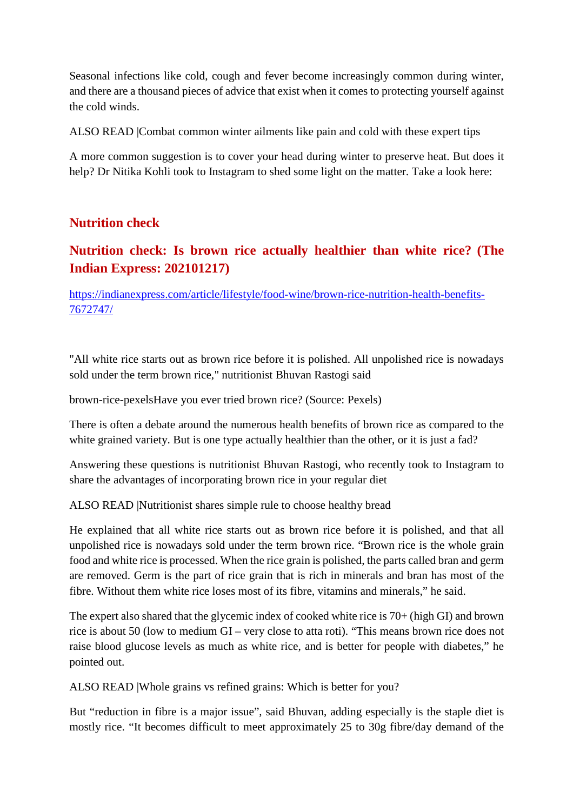Seasonal infections like cold, cough and fever become increasingly common during winter, and there are a thousand pieces of advice that exist when it comes to protecting yourself against the cold winds.

ALSO READ |Combat common winter ailments like pain and cold with these expert tips

A more common suggestion is to cover your head during winter to preserve heat. But does it help? Dr Nitika Kohli took to Instagram to shed some light on the matter. Take a look here:

#### **Nutrition check**

### **Nutrition check: Is brown rice actually healthier than white rice? (The Indian Express: 202101217)**

https://indianexpress.com/article/lifestyle/food-wine/brown-rice-nutrition-health-benefits-7672747/

"All white rice starts out as brown rice before it is polished. All unpolished rice is nowadays sold under the term brown rice," nutritionist Bhuvan Rastogi said

brown-rice-pexelsHave you ever tried brown rice? (Source: Pexels)

There is often a debate around the numerous health benefits of brown rice as compared to the white grained variety. But is one type actually healthier than the other, or it is just a fad?

Answering these questions is nutritionist Bhuvan Rastogi, who recently took to Instagram to share the advantages of incorporating brown rice in your regular diet

ALSO READ |Nutritionist shares simple rule to choose healthy bread

He explained that all white rice starts out as brown rice before it is polished, and that all unpolished rice is nowadays sold under the term brown rice. "Brown rice is the whole grain food and white rice is processed. When the rice grain is polished, the parts called bran and germ are removed. Germ is the part of rice grain that is rich in minerals and bran has most of the fibre. Without them white rice loses most of its fibre, vitamins and minerals," he said.

The expert also shared that the glycemic index of cooked white rice is 70+ (high GI) and brown rice is about 50 (low to medium GI – very close to atta roti). "This means brown rice does not raise blood glucose levels as much as white rice, and is better for people with diabetes," he pointed out.

ALSO READ |Whole grains vs refined grains: Which is better for you?

But "reduction in fibre is a major issue", said Bhuvan, adding especially is the staple diet is mostly rice. "It becomes difficult to meet approximately 25 to 30g fibre/day demand of the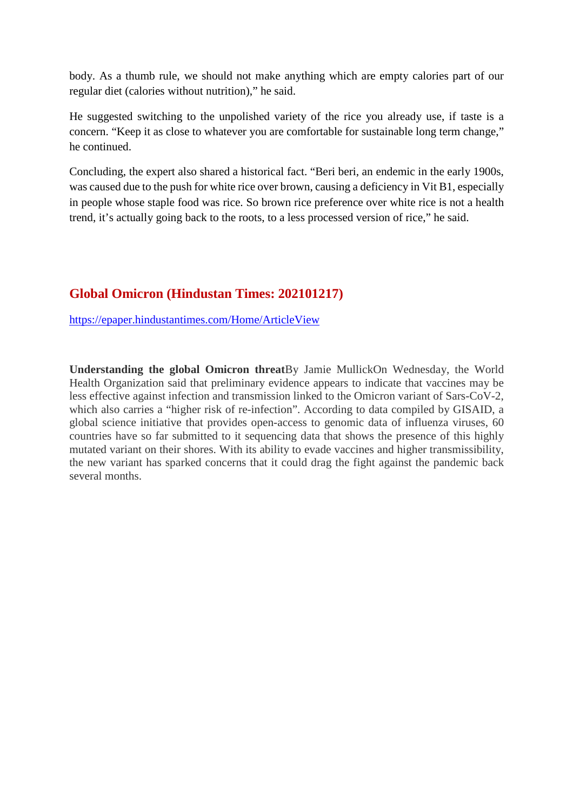body. As a thumb rule, we should not make anything which are empty calories part of our regular diet (calories without nutrition)," he said.

He suggested switching to the unpolished variety of the rice you already use, if taste is a concern. "Keep it as close to whatever you are comfortable for sustainable long term change," he continued.

Concluding, the expert also shared a historical fact. "Beri beri, an endemic in the early 1900s, was caused due to the push for white rice over brown, causing a deficiency in Vit B1, especially in people whose staple food was rice. So brown rice preference over white rice is not a health trend, it's actually going back to the roots, to a less processed version of rice," he said.

#### **Global Omicron (Hindustan Times: 202101217)**

https://epaper.hindustantimes.com/Home/ArticleView

**Understanding the global Omicron threat**By Jamie MullickOn Wednesday, the World Health Organization said that preliminary evidence appears to indicate that vaccines may be less effective against infection and transmission linked to the Omicron variant of Sars-CoV-2, which also carries a "higher risk of re-infection". According to data compiled by GISAID, a global science initiative that provides open-access to genomic data of influenza viruses, 60 countries have so far submitted to it sequencing data that shows the presence of this highly mutated variant on their shores. With its ability to evade vaccines and higher transmissibility, the new variant has sparked concerns that it could drag the fight against the pandemic back several months.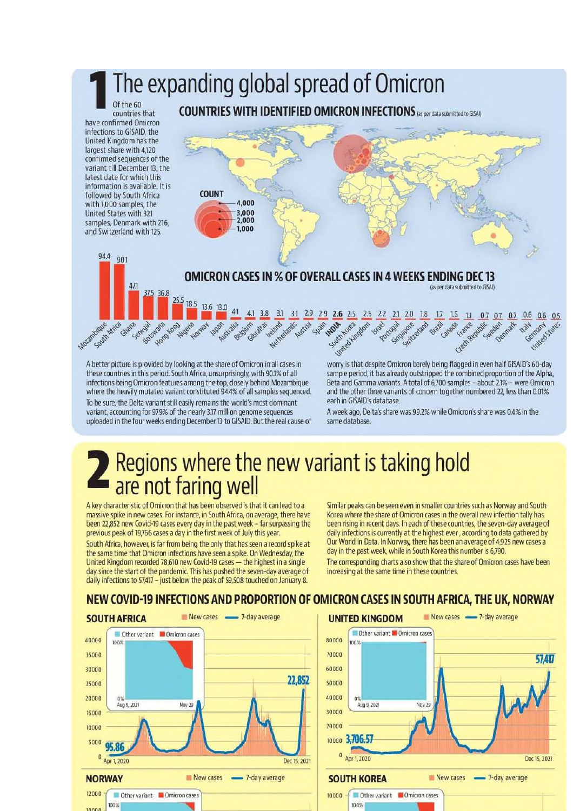## The expanding global spread of Omicron

Of the 60 countries that have confirmed Omicron infections to GISAID, the United Kingdom has the largest share with 4,120 confirmed sequences of the variant till December 13, the latest date for which this information is available. It is followed by South Africa with 1,000 samples, the United States with 321 samples, Denmark with 216, and Switzerland with 125.

94.4 90.1

South Arica

Mozambique

471

Ghana

Senega



**COUNTRIES WITH IDENTIFIED OMICRON INFECTIONS** (as per data submitted to GISAI)

A better picture is provided by looking at the share of Omicron in all cases in these countries in this period. South Africa, unsurprisingly, with 90.1% of all infections being Omicron features among the top, closely behind Mozambique where the heavily mutated variant constituted 94.4% of all samples sequenced. To be sure, the Delta variant still easily remains the world's most dominant variant, accounting for 97.9% of the nearly 3.17 million genome sequences uploaded in the four weeks ending December 13 to GISAID. But the real cause of

United King worry is that despite Omicron barely being flagged in even half GISAID's 60-day sample period, it has already outstripped the combined proportion of the Alpha, Beta and Gamma variants. A total of 6,700 samples - about 2.1% - were Omicron and the other three variants of concern together numbered 22, less than 0.01% each in GISAID's database.

Czech Rep

A week ago, Delta's share was 99.2% while Omicron's share was 0.4% in the same database.

# Regions where the new variant is taking hold<br>are not faring well

A key characteristic of Omicron that has been observed is that it can lead to a massive spike in new cases. For instance, in South Africa, on average, there have been 22,852 new Covid-19 cases every day in the past week - far surpassing the previous peak of 19,766 cases a day in the first week of July this year.

South Africa, however, is far from being the only that has seen a record spike at the same time that Omicron infections have seen a spike. On Wednesday, the United Kingdom recorded 78,610 new Covid-19 cases - the highest in a single day since the start of the pandemic. This has pushed the seven-day average of daily infections to 57,417 - just below the peak of 59,508 touched on January 8.

Similar peaks can be seen even in smaller countries such as Norway and South Korea where the share of Omicron cases in the overall new infection tally has been rising in recent days. In each of these countries, the seven-day average of daily infections is currently at the highest ever, according to data gathered by Our World in Data. In Norway, there has been an average of 4,925 new cases a day in the past week, while in South Korea this number is 6,790.

The corresponding charts also show that the share of Omicron cases have been increasing at the same time in these countries.

#### NEW COVID-19 INFECTIONS AND PROPORTION OF OMICRON CASES IN SOUTH AFRICA, THE UK, NORWAY



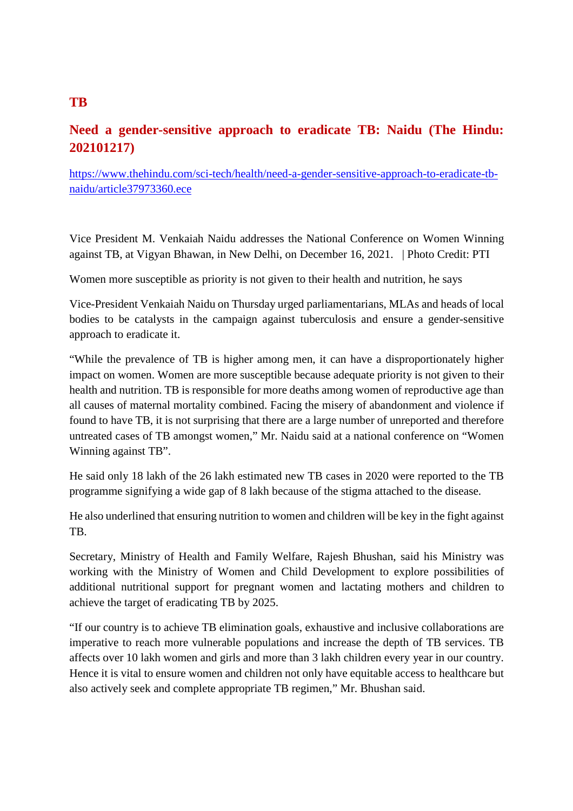#### **Need a gender-sensitive approach to eradicate TB: Naidu (The Hindu: 202101217)**

https://www.thehindu.com/sci-tech/health/need-a-gender-sensitive-approach-to-eradicate-tbnaidu/article37973360.ece

Vice President M. Venkaiah Naidu addresses the National Conference on Women Winning against TB, at Vigyan Bhawan, in New Delhi, on December 16, 2021. | Photo Credit: PTI

Women more susceptible as priority is not given to their health and nutrition, he says

Vice-President Venkaiah Naidu on Thursday urged parliamentarians, MLAs and heads of local bodies to be catalysts in the campaign against tuberculosis and ensure a gender-sensitive approach to eradicate it.

"While the prevalence of TB is higher among men, it can have a disproportionately higher impact on women. Women are more susceptible because adequate priority is not given to their health and nutrition. TB is responsible for more deaths among women of reproductive age than all causes of maternal mortality combined. Facing the misery of abandonment and violence if found to have TB, it is not surprising that there are a large number of unreported and therefore untreated cases of TB amongst women," Mr. Naidu said at a national conference on "Women Winning against TB".

He said only 18 lakh of the 26 lakh estimated new TB cases in 2020 were reported to the TB programme signifying a wide gap of 8 lakh because of the stigma attached to the disease.

He also underlined that ensuring nutrition to women and children will be key in the fight against TB.

Secretary, Ministry of Health and Family Welfare, Rajesh Bhushan, said his Ministry was working with the Ministry of Women and Child Development to explore possibilities of additional nutritional support for pregnant women and lactating mothers and children to achieve the target of eradicating TB by 2025.

"If our country is to achieve TB elimination goals, exhaustive and inclusive collaborations are imperative to reach more vulnerable populations and increase the depth of TB services. TB affects over 10 lakh women and girls and more than 3 lakh children every year in our country. Hence it is vital to ensure women and children not only have equitable access to healthcare but also actively seek and complete appropriate TB regimen," Mr. Bhushan said.

#### **TB**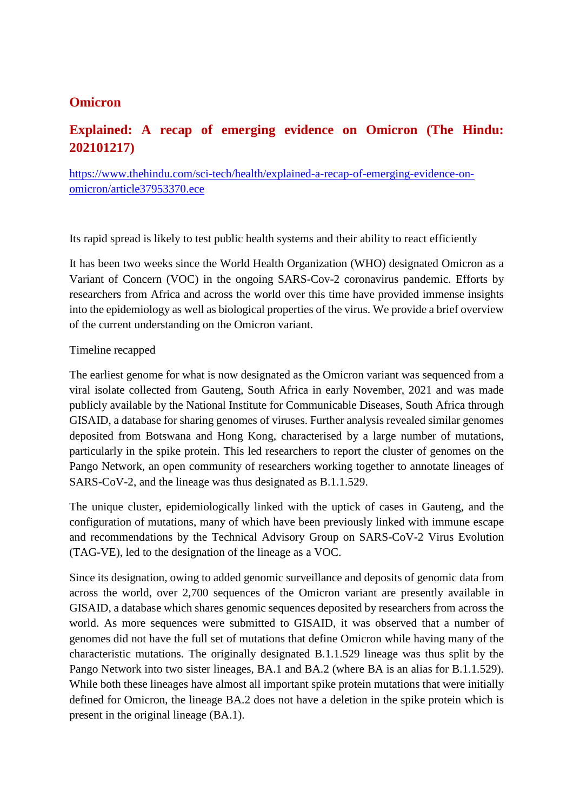#### **Omicron**

#### **Explained: A recap of emerging evidence on Omicron (The Hindu: 202101217)**

https://www.thehindu.com/sci-tech/health/explained-a-recap-of-emerging-evidence-onomicron/article37953370.ece

Its rapid spread is likely to test public health systems and their ability to react efficiently

It has been two weeks since the World Health Organization (WHO) designated Omicron as a Variant of Concern (VOC) in the ongoing SARS-Cov-2 coronavirus pandemic. Efforts by researchers from Africa and across the world over this time have provided immense insights into the epidemiology as well as biological properties of the virus. We provide a brief overview of the current understanding on the Omicron variant.

#### Timeline recapped

The earliest genome for what is now designated as the Omicron variant was sequenced from a viral isolate collected from Gauteng, South Africa in early November, 2021 and was made publicly available by the National Institute for Communicable Diseases, South Africa through GISAID, a database for sharing genomes of viruses. Further analysis revealed similar genomes deposited from Botswana and Hong Kong, characterised by a large number of mutations, particularly in the spike protein. This led researchers to report the cluster of genomes on the Pango Network, an open community of researchers working together to annotate lineages of SARS-CoV-2, and the lineage was thus designated as B.1.1.529.

The unique cluster, epidemiologically linked with the uptick of cases in Gauteng, and the configuration of mutations, many of which have been previously linked with immune escape and recommendations by the Technical Advisory Group on SARS-CoV-2 Virus Evolution (TAG-VE), led to the designation of the lineage as a VOC.

Since its designation, owing to added genomic surveillance and deposits of genomic data from across the world, over 2,700 sequences of the Omicron variant are presently available in GISAID, a database which shares genomic sequences deposited by researchers from across the world. As more sequences were submitted to GISAID, it was observed that a number of genomes did not have the full set of mutations that define Omicron while having many of the characteristic mutations. The originally designated B.1.1.529 lineage was thus split by the Pango Network into two sister lineages, BA.1 and BA.2 (where BA is an alias for B.1.1.529). While both these lineages have almost all important spike protein mutations that were initially defined for Omicron, the lineage BA.2 does not have a deletion in the spike protein which is present in the original lineage (BA.1).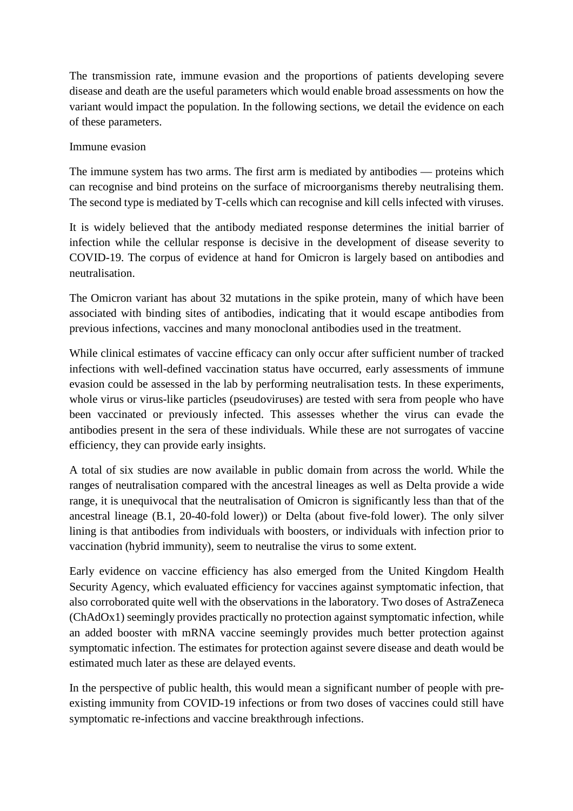The transmission rate, immune evasion and the proportions of patients developing severe disease and death are the useful parameters which would enable broad assessments on how the variant would impact the population. In the following sections, we detail the evidence on each of these parameters.

#### Immune evasion

The immune system has two arms. The first arm is mediated by antibodies — proteins which can recognise and bind proteins on the surface of microorganisms thereby neutralising them. The second type is mediated by T-cells which can recognise and kill cells infected with viruses.

It is widely believed that the antibody mediated response determines the initial barrier of infection while the cellular response is decisive in the development of disease severity to COVID-19. The corpus of evidence at hand for Omicron is largely based on antibodies and neutralisation.

The Omicron variant has about 32 mutations in the spike protein, many of which have been associated with binding sites of antibodies, indicating that it would escape antibodies from previous infections, vaccines and many monoclonal antibodies used in the treatment.

While clinical estimates of vaccine efficacy can only occur after sufficient number of tracked infections with well-defined vaccination status have occurred, early assessments of immune evasion could be assessed in the lab by performing neutralisation tests. In these experiments, whole virus or virus-like particles (pseudoviruses) are tested with sera from people who have been vaccinated or previously infected. This assesses whether the virus can evade the antibodies present in the sera of these individuals. While these are not surrogates of vaccine efficiency, they can provide early insights.

A total of six studies are now available in public domain from across the world. While the ranges of neutralisation compared with the ancestral lineages as well as Delta provide a wide range, it is unequivocal that the neutralisation of Omicron is significantly less than that of the ancestral lineage (B.1, 20-40-fold lower)) or Delta (about five-fold lower). The only silver lining is that antibodies from individuals with boosters, or individuals with infection prior to vaccination (hybrid immunity), seem to neutralise the virus to some extent.

Early evidence on vaccine efficiency has also emerged from the United Kingdom Health Security Agency, which evaluated efficiency for vaccines against symptomatic infection, that also corroborated quite well with the observations in the laboratory. Two doses of AstraZeneca (ChAdOx1) seemingly provides practically no protection against symptomatic infection, while an added booster with mRNA vaccine seemingly provides much better protection against symptomatic infection. The estimates for protection against severe disease and death would be estimated much later as these are delayed events.

In the perspective of public health, this would mean a significant number of people with preexisting immunity from COVID-19 infections or from two doses of vaccines could still have symptomatic re-infections and vaccine breakthrough infections.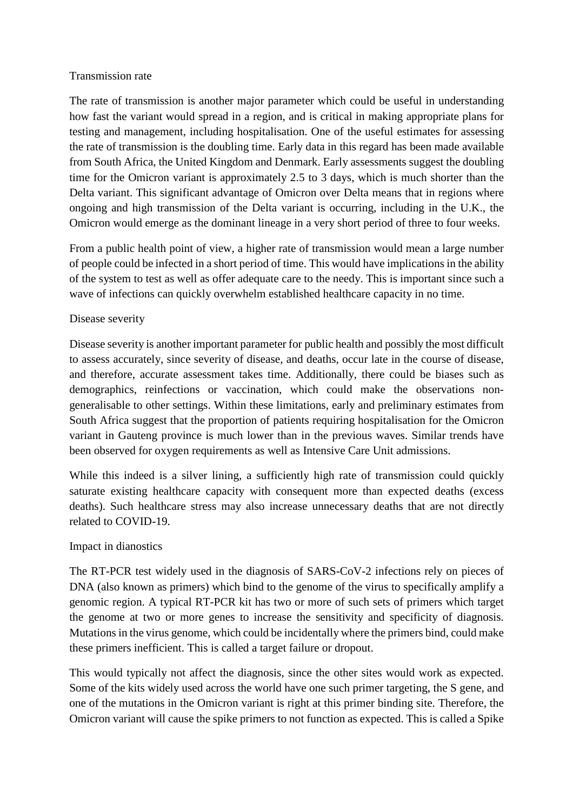#### Transmission rate

The rate of transmission is another major parameter which could be useful in understanding how fast the variant would spread in a region, and is critical in making appropriate plans for testing and management, including hospitalisation. One of the useful estimates for assessing the rate of transmission is the doubling time. Early data in this regard has been made available from South Africa, the United Kingdom and Denmark. Early assessments suggest the doubling time for the Omicron variant is approximately 2.5 to 3 days, which is much shorter than the Delta variant. This significant advantage of Omicron over Delta means that in regions where ongoing and high transmission of the Delta variant is occurring, including in the U.K., the Omicron would emerge as the dominant lineage in a very short period of three to four weeks.

From a public health point of view, a higher rate of transmission would mean a large number of people could be infected in a short period of time. This would have implications in the ability of the system to test as well as offer adequate care to the needy. This is important since such a wave of infections can quickly overwhelm established healthcare capacity in no time.

#### Disease severity

Disease severity is another important parameter for public health and possibly the most difficult to assess accurately, since severity of disease, and deaths, occur late in the course of disease, and therefore, accurate assessment takes time. Additionally, there could be biases such as demographics, reinfections or vaccination, which could make the observations nongeneralisable to other settings. Within these limitations, early and preliminary estimates from South Africa suggest that the proportion of patients requiring hospitalisation for the Omicron variant in Gauteng province is much lower than in the previous waves. Similar trends have been observed for oxygen requirements as well as Intensive Care Unit admissions.

While this indeed is a silver lining, a sufficiently high rate of transmission could quickly saturate existing healthcare capacity with consequent more than expected deaths (excess deaths). Such healthcare stress may also increase unnecessary deaths that are not directly related to COVID-19.

#### Impact in dianostics

The RT-PCR test widely used in the diagnosis of SARS-CoV-2 infections rely on pieces of DNA (also known as primers) which bind to the genome of the virus to specifically amplify a genomic region. A typical RT-PCR kit has two or more of such sets of primers which target the genome at two or more genes to increase the sensitivity and specificity of diagnosis. Mutations in the virus genome, which could be incidentally where the primers bind, could make these primers inefficient. This is called a target failure or dropout.

This would typically not affect the diagnosis, since the other sites would work as expected. Some of the kits widely used across the world have one such primer targeting, the S gene, and one of the mutations in the Omicron variant is right at this primer binding site. Therefore, the Omicron variant will cause the spike primers to not function as expected. This is called a Spike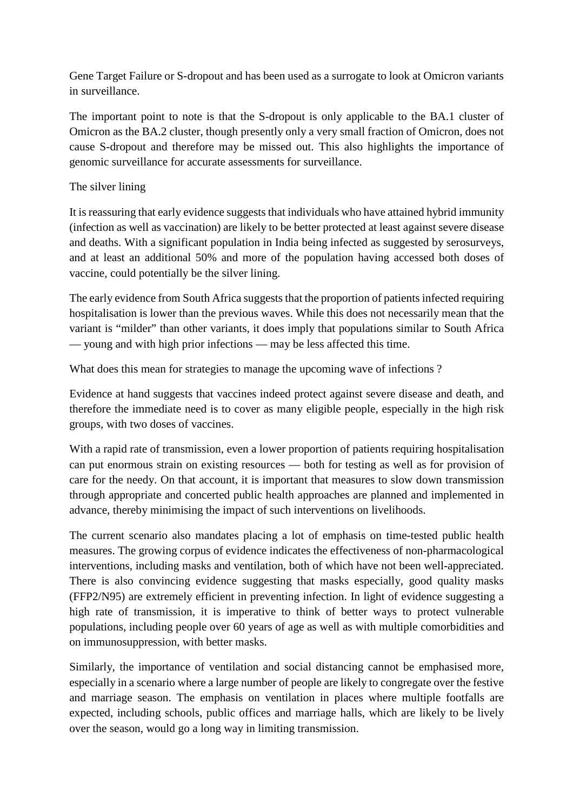Gene Target Failure or S-dropout and has been used as a surrogate to look at Omicron variants in surveillance.

The important point to note is that the S-dropout is only applicable to the BA.1 cluster of Omicron as the BA.2 cluster, though presently only a very small fraction of Omicron, does not cause S-dropout and therefore may be missed out. This also highlights the importance of genomic surveillance for accurate assessments for surveillance.

#### The silver lining

It is reassuring that early evidence suggests that individuals who have attained hybrid immunity (infection as well as vaccination) are likely to be better protected at least against severe disease and deaths. With a significant population in India being infected as suggested by serosurveys, and at least an additional 50% and more of the population having accessed both doses of vaccine, could potentially be the silver lining.

The early evidence from South Africa suggests that the proportion of patients infected requiring hospitalisation is lower than the previous waves. While this does not necessarily mean that the variant is "milder" than other variants, it does imply that populations similar to South Africa — young and with high prior infections — may be less affected this time.

What does this mean for strategies to manage the upcoming wave of infections ?

Evidence at hand suggests that vaccines indeed protect against severe disease and death, and therefore the immediate need is to cover as many eligible people, especially in the high risk groups, with two doses of vaccines.

With a rapid rate of transmission, even a lower proportion of patients requiring hospitalisation can put enormous strain on existing resources — both for testing as well as for provision of care for the needy. On that account, it is important that measures to slow down transmission through appropriate and concerted public health approaches are planned and implemented in advance, thereby minimising the impact of such interventions on livelihoods.

The current scenario also mandates placing a lot of emphasis on time-tested public health measures. The growing corpus of evidence indicates the effectiveness of non-pharmacological interventions, including masks and ventilation, both of which have not been well-appreciated. There is also convincing evidence suggesting that masks especially, good quality masks (FFP2/N95) are extremely efficient in preventing infection. In light of evidence suggesting a high rate of transmission, it is imperative to think of better ways to protect vulnerable populations, including people over 60 years of age as well as with multiple comorbidities and on immunosuppression, with better masks.

Similarly, the importance of ventilation and social distancing cannot be emphasised more, especially in a scenario where a large number of people are likely to congregate over the festive and marriage season. The emphasis on ventilation in places where multiple footfalls are expected, including schools, public offices and marriage halls, which are likely to be lively over the season, would go a long way in limiting transmission.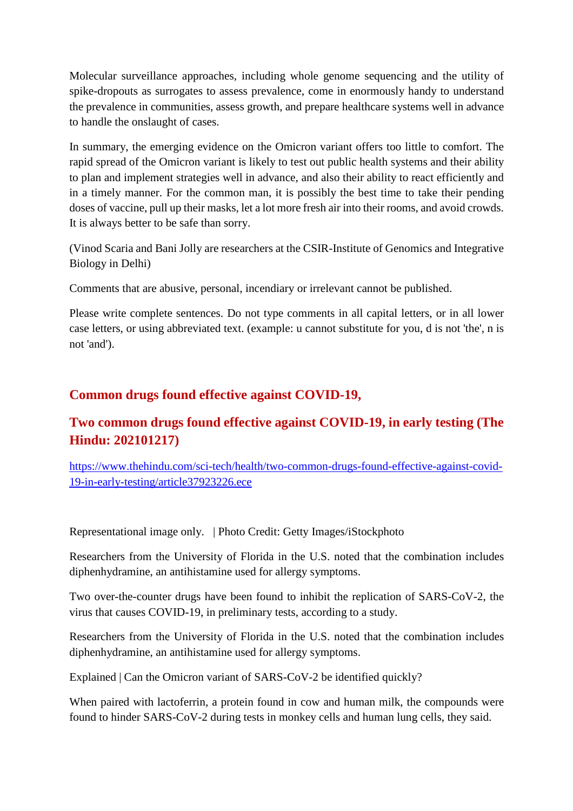Molecular surveillance approaches, including whole genome sequencing and the utility of spike-dropouts as surrogates to assess prevalence, come in enormously handy to understand the prevalence in communities, assess growth, and prepare healthcare systems well in advance to handle the onslaught of cases.

In summary, the emerging evidence on the Omicron variant offers too little to comfort. The rapid spread of the Omicron variant is likely to test out public health systems and their ability to plan and implement strategies well in advance, and also their ability to react efficiently and in a timely manner. For the common man, it is possibly the best time to take their pending doses of vaccine, pull up their masks, let a lot more fresh air into their rooms, and avoid crowds. It is always better to be safe than sorry.

(Vinod Scaria and Bani Jolly are researchers at the CSIR-Institute of Genomics and Integrative Biology in Delhi)

Comments that are abusive, personal, incendiary or irrelevant cannot be published.

Please write complete sentences. Do not type comments in all capital letters, or in all lower case letters, or using abbreviated text. (example: u cannot substitute for you, d is not 'the', n is not 'and').

#### **Common drugs found effective against COVID-19,**

#### **Two common drugs found effective against COVID-19, in early testing (The Hindu: 202101217)**

https://www.thehindu.com/sci-tech/health/two-common-drugs-found-effective-against-covid-19-in-early-testing/article37923226.ece

Representational image only. | Photo Credit: Getty Images/iStockphoto

Researchers from the University of Florida in the U.S. noted that the combination includes diphenhydramine, an antihistamine used for allergy symptoms.

Two over-the-counter drugs have been found to inhibit the replication of SARS-CoV-2, the virus that causes COVID-19, in preliminary tests, according to a study.

Researchers from the University of Florida in the U.S. noted that the combination includes diphenhydramine, an antihistamine used for allergy symptoms.

Explained | Can the Omicron variant of SARS-CoV-2 be identified quickly?

When paired with lactoferrin, a protein found in cow and human milk, the compounds were found to hinder SARS-CoV-2 during tests in monkey cells and human lung cells, they said.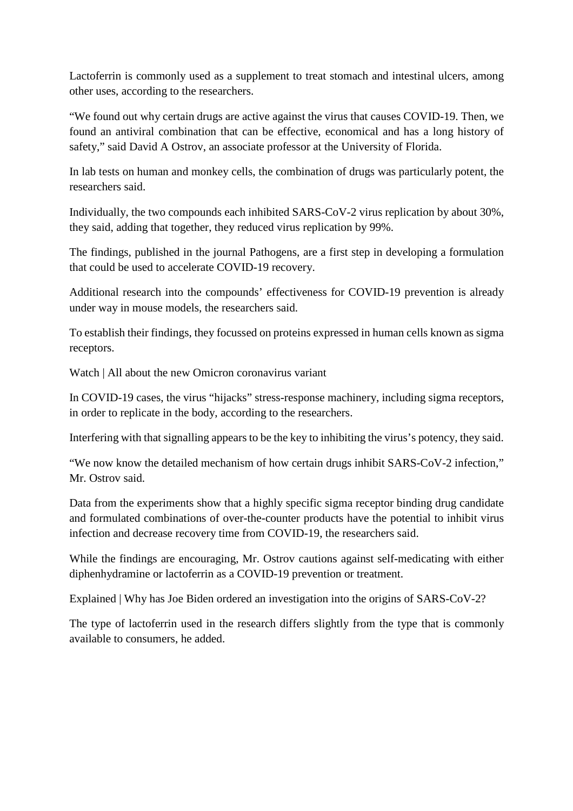Lactoferrin is commonly used as a supplement to treat stomach and intestinal ulcers, among other uses, according to the researchers.

"We found out why certain drugs are active against the virus that causes COVID-19. Then, we found an antiviral combination that can be effective, economical and has a long history of safety," said David A Ostrov, an associate professor at the University of Florida.

In lab tests on human and monkey cells, the combination of drugs was particularly potent, the researchers said.

Individually, the two compounds each inhibited SARS-CoV-2 virus replication by about 30%, they said, adding that together, they reduced virus replication by 99%.

The findings, published in the journal Pathogens, are a first step in developing a formulation that could be used to accelerate COVID-19 recovery.

Additional research into the compounds' effectiveness for COVID-19 prevention is already under way in mouse models, the researchers said.

To establish their findings, they focussed on proteins expressed in human cells known as sigma receptors.

Watch | All about the new Omicron coronavirus variant

In COVID-19 cases, the virus "hijacks" stress-response machinery, including sigma receptors, in order to replicate in the body, according to the researchers.

Interfering with that signalling appears to be the key to inhibiting the virus's potency, they said.

"We now know the detailed mechanism of how certain drugs inhibit SARS-CoV-2 infection," Mr. Ostrov said.

Data from the experiments show that a highly specific sigma receptor binding drug candidate and formulated combinations of over-the-counter products have the potential to inhibit virus infection and decrease recovery time from COVID-19, the researchers said.

While the findings are encouraging, Mr. Ostrov cautions against self-medicating with either diphenhydramine or lactoferrin as a COVID-19 prevention or treatment.

Explained | Why has Joe Biden ordered an investigation into the origins of SARS-CoV-2?

The type of lactoferrin used in the research differs slightly from the type that is commonly available to consumers, he added.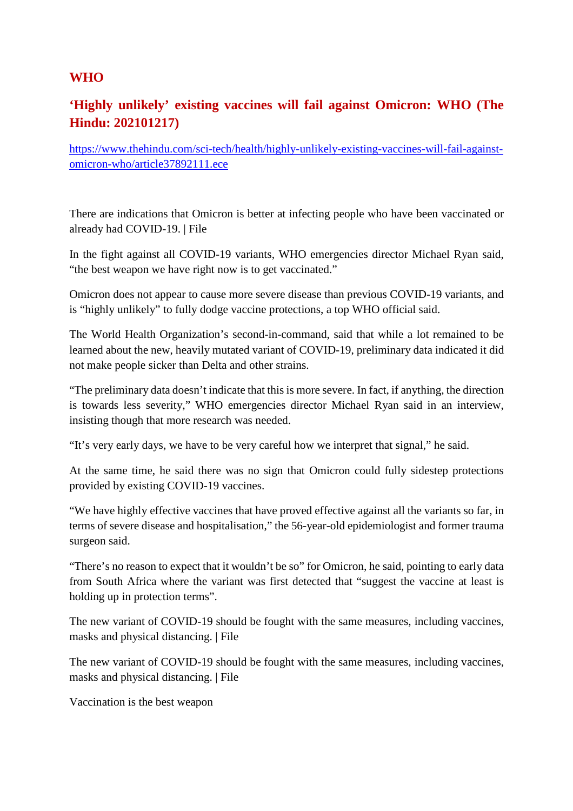#### **WHO**

#### **'Highly unlikely' existing vaccines will fail against Omicron: WHO (The Hindu: 202101217)**

https://www.thehindu.com/sci-tech/health/highly-unlikely-existing-vaccines-will-fail-againstomicron-who/article37892111.ece

There are indications that Omicron is better at infecting people who have been vaccinated or already had COVID-19. | File

In the fight against all COVID-19 variants, WHO emergencies director Michael Ryan said, "the best weapon we have right now is to get vaccinated."

Omicron does not appear to cause more severe disease than previous COVID-19 variants, and is "highly unlikely" to fully dodge vaccine protections, a top WHO official said.

The World Health Organization's second-in-command, said that while a lot remained to be learned about the new, heavily mutated variant of COVID-19, preliminary data indicated it did not make people sicker than Delta and other strains.

"The preliminary data doesn't indicate that this is more severe. In fact, if anything, the direction is towards less severity," WHO emergencies director Michael Ryan said in an interview, insisting though that more research was needed.

"It's very early days, we have to be very careful how we interpret that signal," he said.

At the same time, he said there was no sign that Omicron could fully sidestep protections provided by existing COVID-19 vaccines.

"We have highly effective vaccines that have proved effective against all the variants so far, in terms of severe disease and hospitalisation," the 56-year-old epidemiologist and former trauma surgeon said.

"There's no reason to expect that it wouldn't be so" for Omicron, he said, pointing to early data from South Africa where the variant was first detected that "suggest the vaccine at least is holding up in protection terms".

The new variant of COVID-19 should be fought with the same measures, including vaccines, masks and physical distancing. | File

The new variant of COVID-19 should be fought with the same measures, including vaccines, masks and physical distancing. | File

Vaccination is the best weapon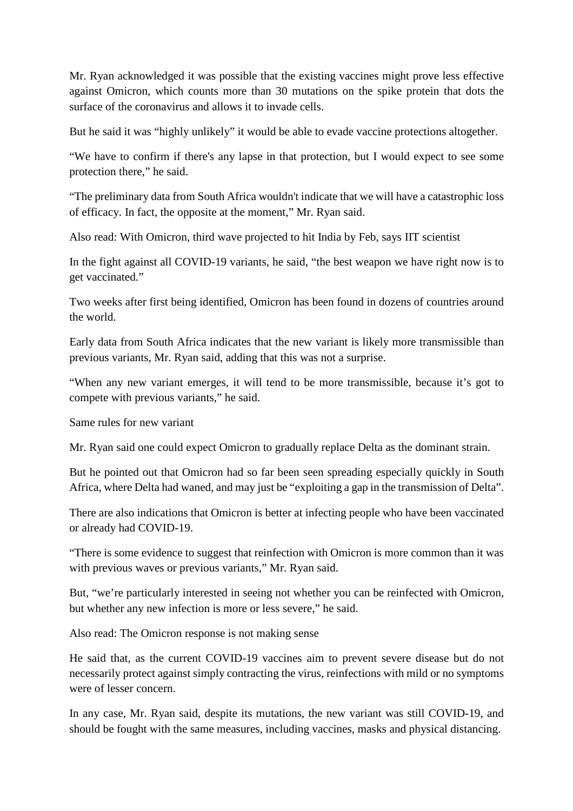Mr. Ryan acknowledged it was possible that the existing vaccines might prove less effective against Omicron, which counts more than 30 mutations on the spike protein that dots the surface of the coronavirus and allows it to invade cells.

But he said it was "highly unlikely" it would be able to evade vaccine protections altogether.

"We have to confirm if there's any lapse in that protection, but I would expect to see some protection there," he said.

"The preliminary data from South Africa wouldn't indicate that we will have a catastrophic loss of efficacy. In fact, the opposite at the moment," Mr. Ryan said.

Also read: With Omicron, third wave projected to hit India by Feb, says IIT scientist

In the fight against all COVID-19 variants, he said, "the best weapon we have right now is to get vaccinated."

Two weeks after first being identified, Omicron has been found in dozens of countries around the world.

Early data from South Africa indicates that the new variant is likely more transmissible than previous variants, Mr. Ryan said, adding that this was not a surprise.

"When any new variant emerges, it will tend to be more transmissible, because it's got to compete with previous variants," he said.

Same rules for new variant

Mr. Ryan said one could expect Omicron to gradually replace Delta as the dominant strain.

But he pointed out that Omicron had so far been seen spreading especially quickly in South Africa, where Delta had waned, and may just be "exploiting a gap in the transmission of Delta".

There are also indications that Omicron is better at infecting people who have been vaccinated or already had COVID-19.

"There is some evidence to suggest that reinfection with Omicron is more common than it was with previous waves or previous variants," Mr. Ryan said.

But, "we're particularly interested in seeing not whether you can be reinfected with Omicron, but whether any new infection is more or less severe," he said.

Also read: The Omicron response is not making sense

He said that, as the current COVID-19 vaccines aim to prevent severe disease but do not necessarily protect against simply contracting the virus, reinfections with mild or no symptoms were of lesser concern.

In any case, Mr. Ryan said, despite its mutations, the new variant was still COVID-19, and should be fought with the same measures, including vaccines, masks and physical distancing.